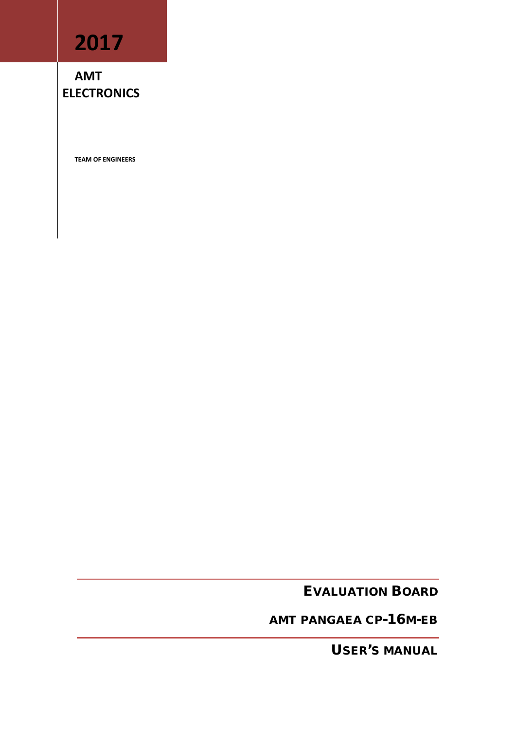# **2017**

**AMT ELECTRONICS**

**TEAM OF ENGINEERS**

EVALUATION BOARD

AMT PANGAEA CP-16M-EB

USER'S MANUAL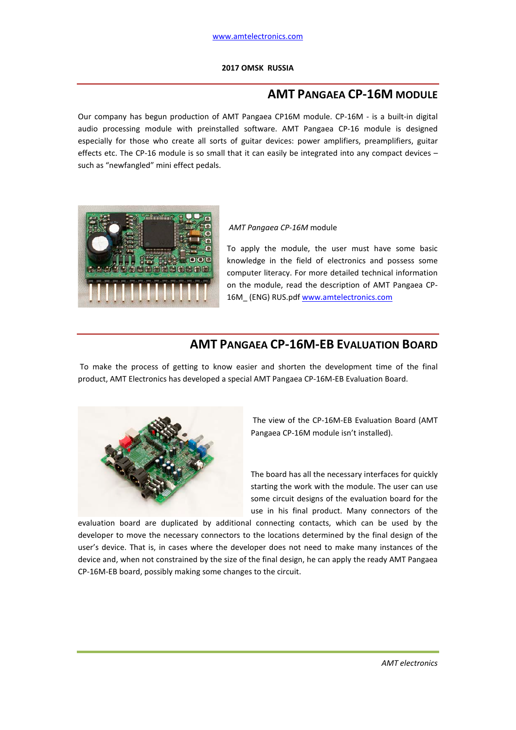#### **2017 OMSK RUSSIA**

# **AMT PANGAEA CP-16M MODULE**

Our company has begun production of AMT Pangaea CP16M module. CP-16M - is a built-in digital audio processing module with preinstalled software. AMT Pangaea CP-16 module is designed especially for those who create all sorts of guitar devices: power amplifiers, preamplifiers, guitar effects etc. The CP-16 module is so small that it can easily be integrated into any compact devices – such as "newfangled" mini effect pedals.



#### *AMT Pangaea CP-16M* module

To apply the module, the user must have some basic knowledge in the field of electronics and possess some computer literacy. For more detailed technical information on the module, read the description of AMT Pangaea CP-16M\_ (ENG) RUS.pdf www.amtelectronics.com

### **AMT PANGAEA CP-16M-EB EVALUATION BOARD**

To make the process of getting to know easier and shorten the development time of the final product, AMT Electronics has developed a special AMT Pangaea CP-16M-EB Evaluation Board.



The view of the CP-16M-EB Evaluation Board (AMT Pangaea CP-16M module isn't installed).

The board has all the necessary interfaces for quickly starting the work with the module. The user can use some circuit designs of the evaluation board for the use in his final product. Many connectors of the

evaluation board are duplicated by additional connecting contacts, which can be used by the developer to move the necessary connectors to the locations determined by the final design of the user's device. That is, in cases where the developer does not need to make many instances of the device and, when not constrained by the size of the final design, he can apply the ready AMT Pangaea CP-16M-EB board, possibly making some changes to the circuit.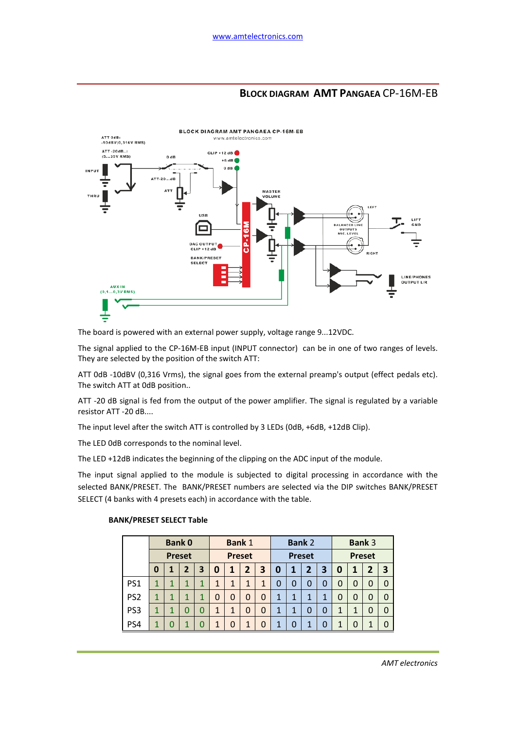# **BLOCK DIAGRAM AMT PANGAEA** CP-16M-EB



The board is powered with an external power supply, voltage range 9...12VDC.

The signal applied to the CP-16M-EB input (INPUT connector) can be in one of two ranges of levels. They are selected by the position of the switch ATT:

ATT 0dB -10dBV (0,316 Vrms), the signal goes from the external preamp's output (effect pedals etc). The switch ATT at 0dB position..

ATT -20 dB signal is fed from the output of the power amplifier. The signal is regulated by a variable resistor ATT -20 dB....

The input level after the switch ATT is controlled by 3 LEDs (0dB, +6dB, +12dB Clip).

The LED 0dB corresponds to the nominal level.

The LED +12dB indicates the beginning of the clipping on the ADC input of the module.

The input signal applied to the module is subjected to digital processing in accordance with the selected BANK/PRESET. The BANK/PRESET numbers are selected via the DIP switches BANK/PRESET SELECT (4 banks with 4 presets each) in accordance with the table.

#### **BANK/PRESET SELECT Table**

|                 | <b>Bank 0</b> |   |   |   | <b>Bank 1</b> |   |   |   | <b>Bank 2</b> |   |              |   | <b>Bank 3</b> |   |          |          |
|-----------------|---------------|---|---|---|---------------|---|---|---|---------------|---|--------------|---|---------------|---|----------|----------|
|                 | <b>Preset</b> |   |   |   | <b>Preset</b> |   |   |   | <b>Preset</b> |   |              |   | <b>Preset</b> |   |          |          |
|                 | $\mathbf 0$   |   | 2 | 3 | 0             | 1 | 2 | 3 | 0             |   | $\mathbf{2}$ | 3 | 0             | 1 | 2        | 3        |
| PS <sub>1</sub> | $\mathbf{1}$  | 1 | 1 | 1 | 1             | 1 |   |   | ი             | 0 | 0            | 0 | $\Omega$      | 0 | 0        | $\Omega$ |
| PS <sub>2</sub> | $\mathbf{1}$  | 1 |   | 1 | 0             | 0 | 0 | 0 |               | 1 | 1            | 1 | $\Omega$      | 0 | $\Omega$ | O        |
| PS <sub>3</sub> | 1             | 1 | 0 | 0 | 1             |   |   | 0 |               | 1 | 0            | 0 | $\mathbf{1}$  | 1 | $\Omega$ |          |
| PS4             |               | ი |   | 0 | 1             | 0 |   |   |               |   | 1            | 0 | 1             | 0 |          |          |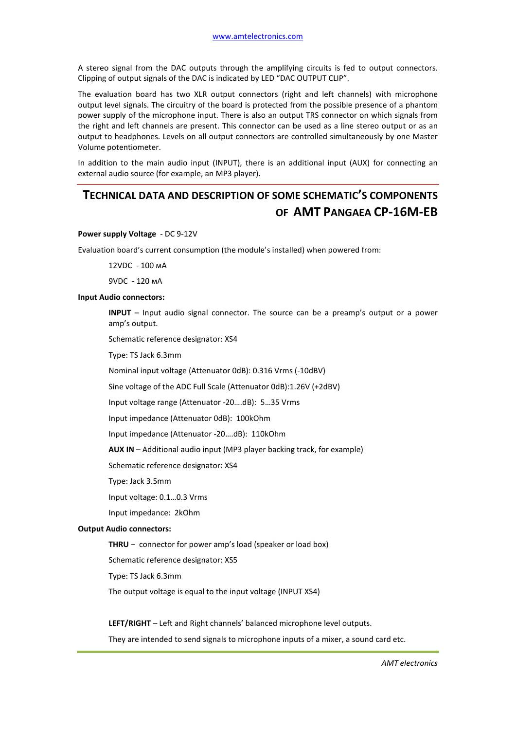A stereo signal from the DAC outputs through the amplifying circuits is fed to output connectors. Clipping of output signals of the DAC is indicated by LED "DAC OUTPUT CLIP".

The evaluation board has two XLR output connectors (right and left channels) with microphone output level signals. The circuitry of the board is protected from the possible presence of a phantom power supply of the microphone input. There is also an output TRS connector on which signals from the right and left channels are present. This connector can be used as a line stereo output or as an output to headphones. Levels on all output connectors are controlled simultaneously by one Master Volume potentiometer.

In addition to the main audio input (INPUT), there is an additional input (AUX) for connecting an external audio source (for example, an MP3 player).

# **TECHNICAL DATA AND DESCRIPTION OF SOME SCHEMATIC'S COMPONENTS OF AMT PANGAEA CP-16M-EB**

#### **Power supply Voltage** - DC 9-12V

Evaluation board's current consumption (the module's installed) when powered from:

12VDC - 100 мА

9VDC - 120 мА

#### **Input Audio connectors:**

**INPUT** – Input audio signal connector. The source can be a preamp's output or a power amp's output.

Schematic reference designator: XS4

Type: TS Jack 6.3mm

Nominal input voltage (Attenuator 0dB): 0.316 Vrms (-10dBV)

Sine voltage of the ADC Full Scale (Attenuator 0dB):1.26V (+2dBV)

Input voltage range (Attenuator -20….dB): 5…35 Vrms

Input impedance (Attenuator 0dB): 100kOhm

Input impedance (Attenuator -20….dB): 110kOhm

**AUX IN** – Additional audio input (MP3 player backing track, for example)

Schematic reference designator: XS4

Type: Jack 3.5mm

Input voltage: 0.1…0.3 Vrms

Input impedance: 2kOhm

#### **Output Audio connectors:**

**THRU** – connector for power amp's load (speaker or load box)

Schematic reference designator: XS5

Type: TS Jack 6.3mm

The output voltage is equal to the input voltage (INPUT XS4)

**LEFT/RIGHT** – Left and Right channels' balanced microphone level outputs.

They are intended to send signals to microphone inputs of a mixer, a sound card etc.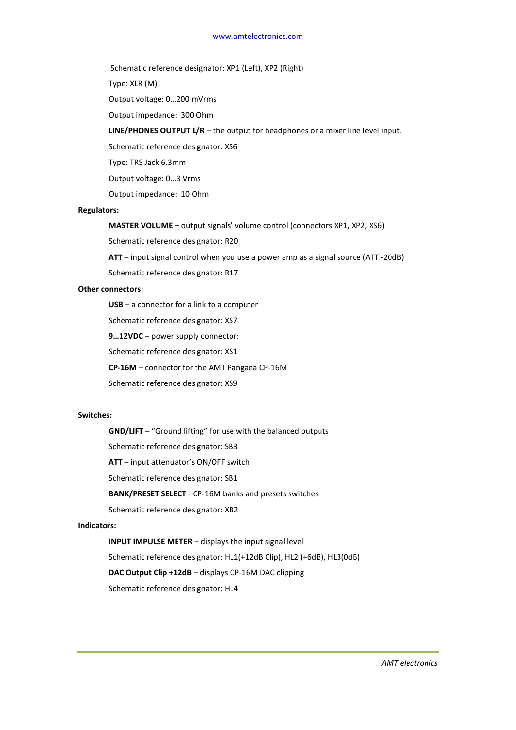Schematic reference designator: XP1 (Left), XP2 (Right)

Type: XLR (M)

Output voltage: 0…200 mVrms

Output impedance: 300 Ohm

#### **LINE/PHONES OUTPUT L/R** – the output for headphones or a mixer line level input.

Schematic reference designator: XS6

Type: TRS Jack 6.3mm

Output voltage: 0…3 Vrms

Output impedance: 10 Ohm

#### **Regulators:**

**MASTER VOLUME –** output signals' volume control (connectors XP1, XP2, XS6)

Schematic reference designator: R20

**ATT** – input signal control when you use a power amp as a signal source (ATT -20dB)

Schematic reference designator: R17

#### **Other connectors:**

**USB** – a connector for a link to a computer

Schematic reference designator: XS7

**9…12VDC** – power supply connector:

Schematic reference designator: XS1

**CP-16M** – connector for the AMT Pangaea CP-16M

Schematic reference designator: XS9

#### **Switches:**

**GND/LIFT** – "Ground lifting" for use with the balanced outputs Schematic reference designator: SB3

**ATT** – input attenuator's ON/OFF switch

Schematic reference designator: SB1

**BANK/PRESET SELECT** - CP-16M banks and presets switches

Schematic reference designator: XB2

#### **Indicators:**

**INPUT IMPULSE METER** – displays the input signal level Schematic reference designator: HL1(+12dB Clip), HL2 (+6dB), HL3(0dB) **DAC Output Clip +12dB** – displays CP-16M DAC clipping Schematic reference designator: HL4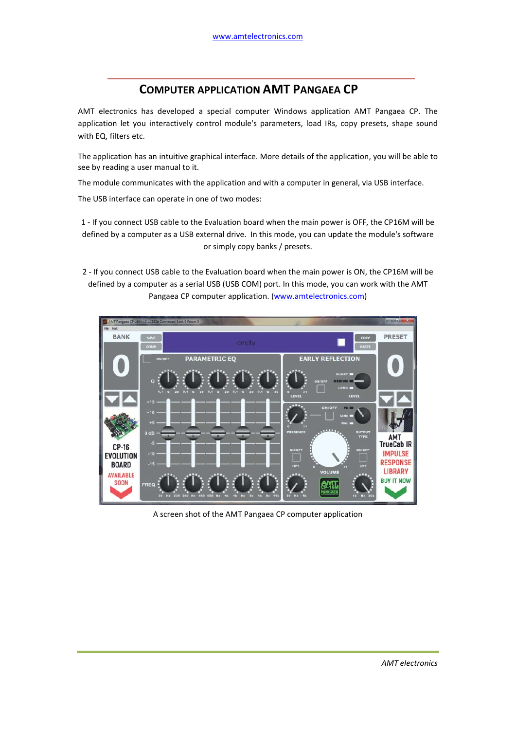# **COMPUTER APPLICATION AMT PANGAEA CP**

AMT electronics has developed a special computer Windows application AMT Pangaea CP. The application let you interactively control module's parameters, load IRs, copy presets, shape sound with EQ, filters etc.

The application has an intuitive graphical interface. More details of the application, you will be able to see by reading a user manual to it.

The module communicates with the application and with a computer in general, via USB interface.

The USB interface can operate in one of two modes:

1 - If you connect USB cable to the Evaluation board when the main power is OFF, the CP16M will be defined by a computer as a USB external drive. In this mode, you can update the module's software or simply copy banks / presets.

2 - If you connect USB cable to the Evaluation board when the main power is ON, the CP16M will be defined by a computer as a serial USB (USB COM) port. In this mode, you can work with the AMT Pangaea CP computer application. (www.amtelectronics.com)



A screen shot of the AMT Pangaea CP computer application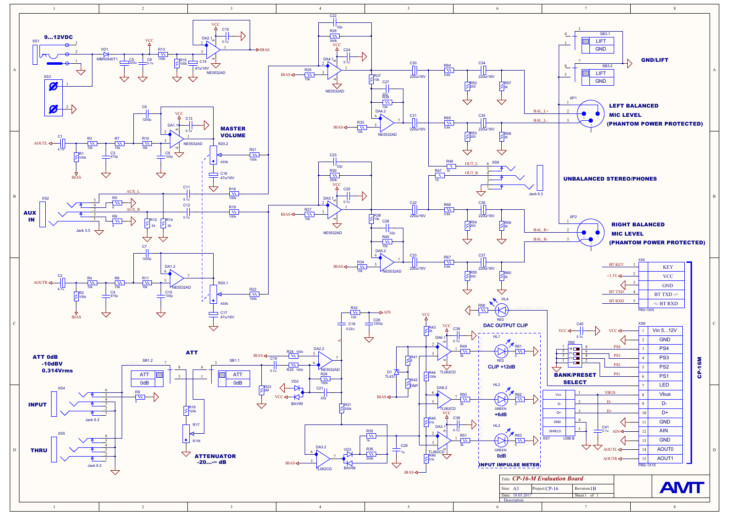